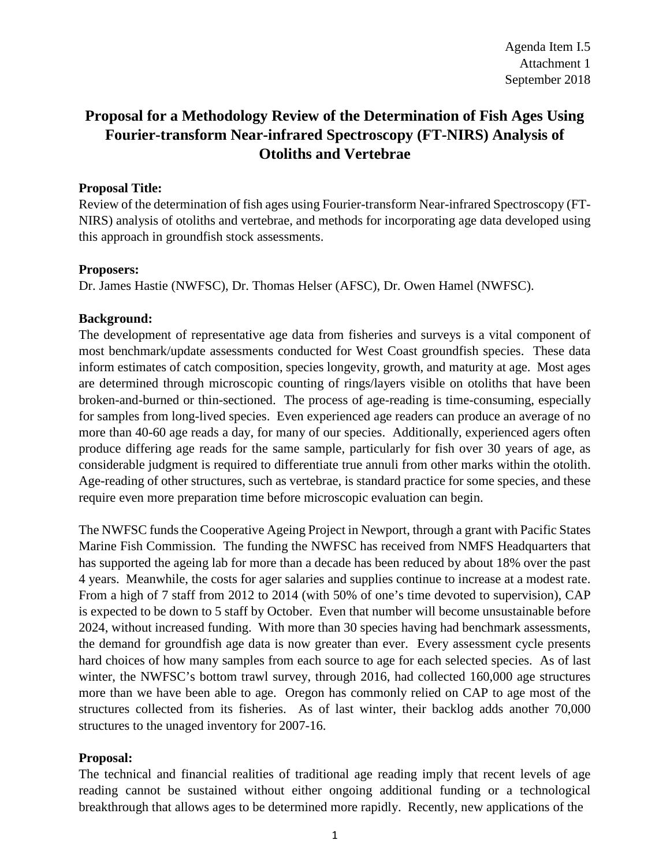# **Proposal for a Methodology Review of the Determination of Fish Ages Using Fourier-transform Near-infrared Spectroscopy (FT-NIRS) Analysis of Otoliths and Vertebrae**

## **Proposal Title:**

Review of the determination of fish ages using Fourier-transform Near-infrared Spectroscopy (FT-NIRS) analysis of otoliths and vertebrae, and methods for incorporating age data developed using this approach in groundfish stock assessments.

### **Proposers:**

Dr. James Hastie (NWFSC), Dr. Thomas Helser (AFSC), Dr. Owen Hamel (NWFSC).

## **Background:**

The development of representative age data from fisheries and surveys is a vital component of most benchmark/update assessments conducted for West Coast groundfish species. These data inform estimates of catch composition, species longevity, growth, and maturity at age. Most ages are determined through microscopic counting of rings/layers visible on otoliths that have been broken-and-burned or thin-sectioned. The process of age-reading is time-consuming, especially for samples from long-lived species. Even experienced age readers can produce an average of no more than 40-60 age reads a day, for many of our species. Additionally, experienced agers often produce differing age reads for the same sample, particularly for fish over 30 years of age, as considerable judgment is required to differentiate true annuli from other marks within the otolith. Age-reading of other structures, such as vertebrae, is standard practice for some species, and these require even more preparation time before microscopic evaluation can begin.

The NWFSC funds the Cooperative Ageing Project in Newport, through a grant with Pacific States Marine Fish Commission. The funding the NWFSC has received from NMFS Headquarters that has supported the ageing lab for more than a decade has been reduced by about 18% over the past 4 years. Meanwhile, the costs for ager salaries and supplies continue to increase at a modest rate. From a high of 7 staff from 2012 to 2014 (with 50% of one's time devoted to supervision), CAP is expected to be down to 5 staff by October. Even that number will become unsustainable before 2024, without increased funding. With more than 30 species having had benchmark assessments, the demand for groundfish age data is now greater than ever. Every assessment cycle presents hard choices of how many samples from each source to age for each selected species. As of last winter, the NWFSC's bottom trawl survey, through 2016, had collected 160,000 age structures more than we have been able to age. Oregon has commonly relied on CAP to age most of the structures collected from its fisheries. As of last winter, their backlog adds another 70,000 structures to the unaged inventory for 2007-16.

## **Proposal:**

The technical and financial realities of traditional age reading imply that recent levels of age reading cannot be sustained without either ongoing additional funding or a technological breakthrough that allows ages to be determined more rapidly. Recently, new applications of the